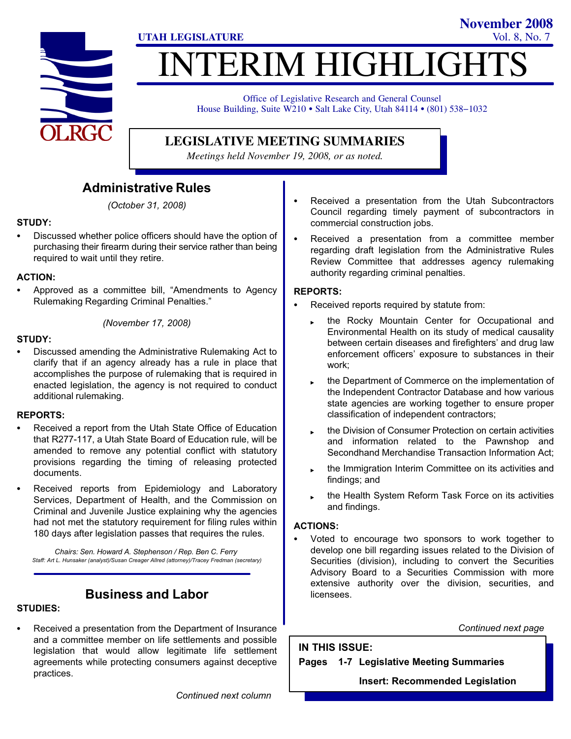

# **ITERIM HIGHLIGHT UTAH LEGISLATURE** Vol. 8, No. 7

Office of Legislative Research and General Counsel House Building, Suite W210 · Salt Lake City, Utah 84114 · (801) 538-1032

### **LEGISLATIVE MEETING SUMMARIES**

*Meetings held November 19, 2008, or as noted.*

### Administrative Rules

(October 31, 2008)

### STUDY:

- Discussed whether police officers should have the option of purchasing their firearm during their service rather than being required to wait until they retire.

### ACTION:

-• Approved as a committee bill, "Amendments to Agency Rulemaking Regarding Criminal Penalties."

(November 17, 2008)

#### STUDY:

- Discussed amending the Administrative Rulemaking Act to clarify that if an agency already has a rule in place that accomplishes the purpose of rulemaking that is required in enacted legislation, the agency is not required to conduct additional rulemaking.

#### REPORTS:

- - Received a report from the Utah State Office of Education that R277−117, a Utah State Board of Education rule, will be amended to remove any potential conflict with statutory provisions regarding the timing of releasing protected documents.
- - Received reports from Epidemiology and Laboratory Services, Department of Health, and the Commission on Criminal and Juvenile Justice explaining why the agencies had not met the statutory requirement for filing rules within 180 days after legislation passes that requires the rules.

Chairs: Sen. Howard A. Stephenson / Rep. Ben C. Ferry Staff: Art L. Hunsaker (analyst)/Susan Creager Allred (attorney)/Tracey Fredman (secretary)

### Business and Labor

### STUDIES:

- Received a presentation from the Department of Insurance and a committee member on life settlements and possible legislation that would allow legitimate life settlement agreements while protecting consumers against deceptive practices.

- Received a presentation from the Utah Subcontractors Council regarding timely payment of subcontractors in commercial construction jobs.

**November 2008**

- Received a presentation from a committee member regarding draft legislation from the Administrative Rules Review Committee that addresses agency rulemaking authority regarding criminal penalties.

### REPORTS:

- - Received reports required by statute from:
	- the Rocky Mountain Center for Occupational and Environmental Health on its study of medical causality between certain diseases and firefighters' and drug law enforcement officers' exposure to substances in their work;
	- the Department of Commerce on the implementation of the Independent Contractor Database and how various state agencies are working together to ensure proper classification of independent contractors;
	- the Division of Consumer Protection on certain activities and information related to the Pawnshop and Secondhand Merchandise Transaction Information Act;
	- the Immigration Interim Committee on its activities and findings; and
	- the Health System Reform Task Force on its activities and findings.

### ACTIONS:

- Voted to encourage two sponsors to work together to develop one bill regarding issues related to the Division of Securities (division), including to convert the Securities Advisory Board to a Securities Commission with more extensive authority over the division, securities, and licensees.

Continued next page

IN THIS ISSUE: Pages 1−7 Legislative Meeting Summaries

Insert: Recommended Legislation

Continued next column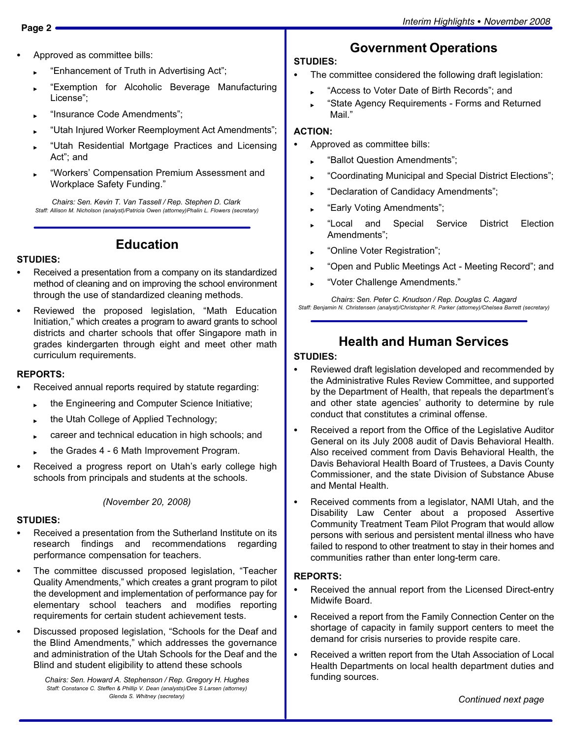- - Approved as committee bills:
	- ► "Enhancement of Truth in Advertising Act";
	- -Exemption for Alcoholic Beverage Manufacturing License";
	- -Insurance Code Amendments";
	- -Utah Injured Worker Reemployment Act Amendments";
	- -Utah Residential Mortgage Practices and Licensing Act"; and
	- -Workers' Compensation Premium Assessment and Workplace Safety Funding."

Chairs: Sen. Kevin T. Van Tassell / Rep. Stephen D. Clark Staff: Allison M. Nicholson (analyst)/Patricia Owen (attorney)Phalin L. Flowers (secretary)

### Education

#### STUDIES:

- - Received a presentation from a company on its standardized method of cleaning and on improving the school environment through the use of standardized cleaning methods.
- -• Reviewed the proposed legislation, "Math Education Initiation," which creates a program to award grants to school districts and charter schools that offer Singapore math in grades kindergarten through eight and meet other math curriculum requirements.

### REPORTS:

- - Received annual reports required by statute regarding:
	- the Engineering and Computer Science Initiative;
	- the Utah College of Applied Technology;
	- career and technical education in high schools; and
	- the Grades 4 − 6 Math Improvement Program.
- - Received a progress report on Utah's early college high schools from principals and students at the schools.

(November 20, 2008)

#### STUDIES:

- - Received a presentation from the Sutherland Institute on its research findings and recommendations regarding performance compensation for teachers.
- -• The committee discussed proposed legislation, "Teacher Quality Amendments," which creates a grant program to pilot the development and implementation of performance pay for elementary school teachers and modifies reporting requirements for certain student achievement tests.
- -• Discussed proposed legislation, "Schools for the Deaf and the Blind Amendments," which addresses the governance and administration of the Utah Schools for the Deaf and the Blind and student eligibility to attend these schools

Chairs: Sen. Howard A. Stephenson / Rep. Gregory H. Hughes Staff: Constance C. Steffen & Phillip V. Dean (analysts)/Dee S Larsen (attorney) Glenda S. Whitney (secretary)

## Government Operations

### STUDIES:

-

- The committee considered the following draft legislation:
	- ► "Access to Voter Date of Birth Records"; and
	- -State Agency Requirements − Forms and Returned Mail."

#### ACTION:

- - Approved as committee bills:
	- ► "Ballot Question Amendments";
	- ► Coordinating Municipal and Special District Elections";
	- -Declaration of Candidacy Amendments";
	- ► "Early Voting Amendments";
	- "Local and Special Service District Election Amendments";
	- ► "Online Voter Registration";
	- -Open and Public Meetings Act − Meeting Record"; and
	- -Voter Challenge Amendments."

Chairs: Sen. Peter C. Knudson / Rep. Douglas C. Aagard Staff: Benjamin N. Christensen (analyst)/Christopher R. Parker (attorney)/Chelsea Barrett (secretary)

### Health and Human Services

### STUDIES:

- - Reviewed draft legislation developed and recommended by the Administrative Rules Review Committee, and supported by the Department of Health, that repeals the department's and other state agencies' authority to determine by rule conduct that constitutes a criminal offense.
- - Received a report from the Office of the Legislative Auditor General on its July 2008 audit of Davis Behavioral Health. Also received comment from Davis Behavioral Health, the Davis Behavioral Health Board of Trustees, a Davis County Commissioner, and the state Division of Substance Abuse and Mental Health.
- - Received comments from a legislator, NAMI Utah, and the Disability Law Center about a proposed Assertive Community Treatment Team Pilot Program that would allow persons with serious and persistent mental illness who have failed to respond to other treatment to stay in their homes and communities rather than enter long−term care.

#### REPORTS:

- - Received the annual report from the Licensed Direct−entry Midwife Board.
- $\bullet$  Received a report from the Family Connection Center on the shortage of capacity in family support centers to meet the demand for crisis nurseries to provide respite care.
- - Received a written report from the Utah Association of Local Health Departments on local health department duties and funding sources.

Continued next page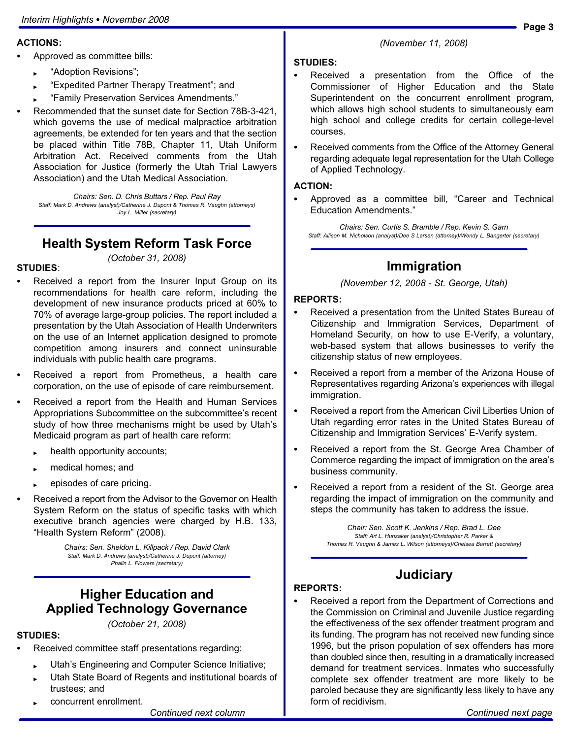#### ACTIONS:

- - Approved as committee bills:
	- ► "Adoption Revisions";
	- -Expedited Partner Therapy Treatment"; and
	- -Family Preservation Services Amendments."
- - Recommended that the sunset date for Section 78B−3−421, which governs the use of medical malpractice arbitration agreements, be extended for ten years and that the section be placed within Title 78B, Chapter 11, Utah Uniform Arbitration Act. Received comments from the Utah Association for Justice (formerly the Utah Trial Lawyers Association) and the Utah Medical Association.

Chairs: Sen. D. Chris Buttars / Rep. Paul Ray Staff: Mark D. Andrews (analyst)/Catherine J. Dupont & Thomas R. Vaughn (attorneys) Joy L. Miller (secretary)

### Health System Reform Task Force

(October 31, 2008)

### STUDIES:

- - Received a report from the Insurer Input Group on its recommendations for health care reform, including the development of new insurance products priced at 60% to 70% of average large−group policies. The report included a presentation by the Utah Association of Health Underwriters on the use of an Internet application designed to promote competition among insurers and connect uninsurable individuals with public health care programs.
- - Received a report from Prometheus, a health care corporation, on the use of episode of care reimbursement.
- - Received a report from the Health and Human Services Appropriations Subcommittee on the subcommittee's recent study of how three mechanisms might be used by Utah's Medicaid program as part of health care reform:
	- health opportunity accounts;
	- medical homes; and
	- episodes of care pricing.
- - Received a report from the Advisor to the Governor on Health System Reform on the status of specific tasks with which executive branch agencies were charged by H.B. 133, -Health System Reform" (2008).

Chairs: Sen. Sheldon L. Killpack / Rep. David Clark Staff: Mark D. Andrews (analyst)/Catherine J. Dupont (attorney) Phalin L. Flowers (secretary)

### Higher Education and Applied Technology Governance

(October 21, 2008)

### STUDIES:

- - Received committee staff presentations regarding:
	- Utah's Engineering and Computer Science Initiative;
	- Utah State Board of Regents and institutional boards of trustees; and
	- concurrent enrollment.

#### (November 11, 2008)

#### STUDIES:

- - Received a presentation from the Office of the Commissioner of Higher Education and the State Superintendent on the concurrent enrollment program, which allows high school students to simultaneously earn high school and college credits for certain college−level courses.
- - Received comments from the Office of the Attorney General regarding adequate legal representation for the Utah College of Applied Technology.

#### ACTION:

-• Approved as a committee bill, "Career and Technical Education Amendments."

Chairs: Sen. Curtis S. Bramble / Rep. Kevin S. Garn Staff: Allison M. Nicholson (analyst)/Dee S Larsen (attorney)/Wendy L. Bangerter (secretary)

### Immigration

(November 12, 2008 − St. George, Utah)

#### REPORTS:

- - Received a presentation from the United States Bureau of Citizenship and Immigration Services, Department of Homeland Security, on how to use E−Verify, a voluntary, web−based system that allows businesses to verify the citizenship status of new employees.
- - Received a report from a member of the Arizona House of Representatives regarding Arizona's experiences with illegal immigration.
- - Received a report from the American Civil Liberties Union of Utah regarding error rates in the United States Bureau of Citizenship and Immigration Services' E−Verify system.
- - Received a report from the St. George Area Chamber of Commerce regarding the impact of immigration on the area's business community.
- - Received a report from a resident of the St. George area regarding the impact of immigration on the community and steps the community has taken to address the issue.

Chair: Sen. Scott K. Jenkins / Rep. Brad L. Dee Staff: Art L. Hunsaker (analyst)/Christopher R. Parker & Thomas R. Vaughn & James L. Wilson (attorneys)/Chelsea Barrett (secretary)

### **Judiciary**

#### REPORTS:

- Received a report from the Department of Corrections and the Commission on Criminal and Juvenile Justice regarding the effectiveness of the sex offender treatment program and its funding. The program has not received new funding since 1996, but the prison population of sex offenders has more than doubled since then, resulting in a dramatically increased demand for treatment services. Inmates who successfully complete sex offender treatment are more likely to be paroled because they are significantly less likely to have any form of recidivism.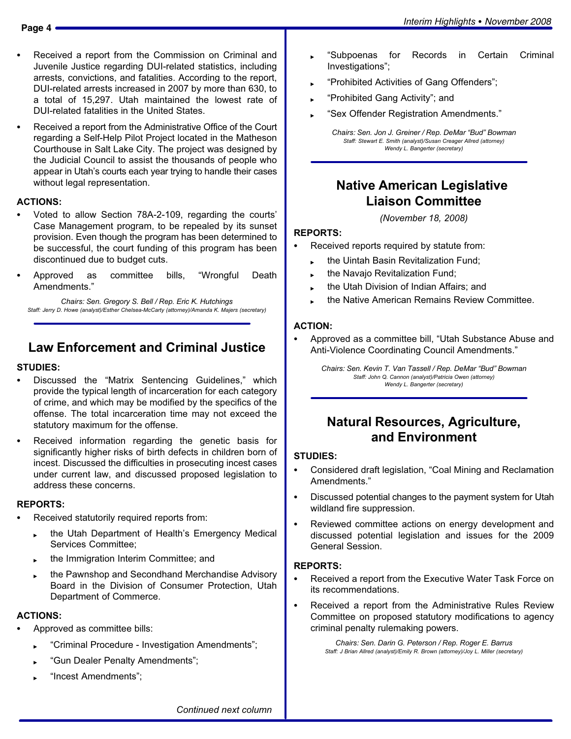- 
- - Received a report from the Commission on Criminal and Juvenile Justice regarding DUI−related statistics, including arrests, convictions, and fatalities. According to the report, DUI−related arrests increased in 2007 by more than 630, to a total of 15,297. Utah maintained the lowest rate of DUI−related fatalities in the United States.
- - Received a report from the Administrative Office of the Court regarding a Self−Help Pilot Project located in the Matheson Courthouse in Salt Lake City. The project was designed by the Judicial Council to assist the thousands of people who appear in Utah's courts each year trying to handle their cases without legal representation.

#### ACTIONS:

- - Voted to allow Section 78A−2−109, regarding the courts' Case Management program, to be repealed by its sunset provision. Even though the program has been determined to be successful, the court funding of this program has been discontinued due to budget cuts.
- -Approved as committee bills, Wrongful Death Amendments."

Chairs: Sen. Gregory S. Bell / Rep. Eric K. Hutchings Staff: Jerry D. Howe (analyst)/Esther Chelsea−McCarty (attorney)/Amanda K. Majers (secretary)

### Law Enforcement and Criminal Justice

#### STUDIES:

- -• Discussed the "Matrix Sentencing Guidelines," which provide the typical length of incarceration for each category of crime, and which may be modified by the specifics of the offense. The total incarceration time may not exceed the statutory maximum for the offense.
- - Received information regarding the genetic basis for significantly higher risks of birth defects in children born of incest. Discussed the difficulties in prosecuting incest cases under current law, and discussed proposed legislation to address these concerns.

#### REPORTS:

- - Received statutorily required reports from:
	- the Utah Department of Health's Emergency Medical Services Committee;
	- the Immigration Interim Committee; and
	- the Pawnshop and Secondhand Merchandise Advisory Board in the Division of Consumer Protection, Utah Department of Commerce.

#### ACTIONS:

- - Approved as committee bills:
	- -Criminal Procedure − Investigation Amendments";
	- -Gun Dealer Penalty Amendments";
	- ► "Incest Amendments";
- -Subpoenas for Records in Certain Criminal Investigations";
- -Prohibited Activities of Gang Offenders";
- ► "Prohibited Gang Activity"; and
- -Sex Offender Registration Amendments."

Chairs: Sen. Jon J. Greiner / Rep. DeMar "Bud" Bowman Staff: Stewart E. Smith (analyst)/Susan Creager Allred (attorney) Wendy L. Bangerter (secretary)

### Native American Legislative Liaison Committee

(November 18, 2008)

#### REPORTS:

- - Received reports required by statute from:
	- the Uintah Basin Revitalization Fund;
	- the Navajo Revitalization Fund;
	- the Utah Division of Indian Affairs; and
	- the Native American Remains Review Committee.

#### ACTION:

-• Approved as a committee bill, "Utah Substance Abuse and Anti−Violence Coordinating Council Amendments."

> Chairs: Sen. Kevin T. Van Tassell / Rep. DeMar "Bud" Bowman Staff: John Q. Cannon (analyst)/Patricia Owen (attorney) Wendy L. Bangerter (secretary)

### Natural Resources, Agriculture, and Environment

#### STUDIES:

- -• Considered draft legislation, "Coal Mining and Reclamation Amendments."
- - Discussed potential changes to the payment system for Utah wildland fire suppression.
- - Reviewed committee actions on energy development and discussed potential legislation and issues for the 2009 General Session.

### REPORTS:

- - Received a report from the Executive Water Task Force on its recommendations.
- - Received a report from the Administrative Rules Review Committee on proposed statutory modifications to agency criminal penalty rulemaking powers.

Chairs: Sen. Darin G. Peterson / Rep. Roger E. Barrus Staff: J Brian Allred (analyst)/Emily R. Brown (attorney)/Joy L. Miller (secretary)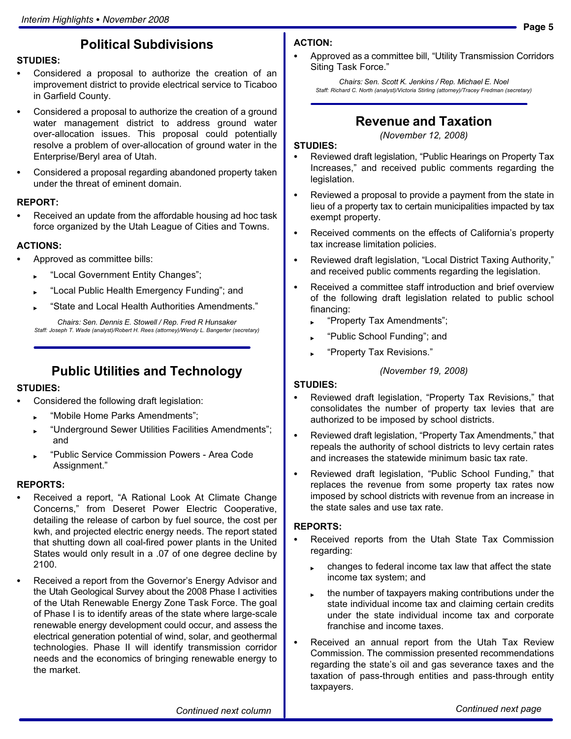### Political Subdivisions

### STUDIES:

- - Considered a proposal to authorize the creation of an improvement district to provide electrical service to Ticaboo in Garfield County.
- - Considered a proposal to authorize the creation of a ground water management district to address ground water over−allocation issues. This proposal could potentially resolve a problem of over−allocation of ground water in the Enterprise/Beryl area of Utah.
- - Considered a proposal regarding abandoned property taken under the threat of eminent domain.

#### REPORT:

- Received an update from the affordable housing ad hoc task force organized by the Utah League of Cities and Towns.

#### ACTIONS:

- - Approved as committee bills:
	- -Local Government Entity Changes";
	- ► "Local Public Health Emergency Funding"; and
	- ► State and Local Health Authorities Amendments."

Chairs: Sen. Dennis E. Stowell / Rep. Fred R Hunsaker Staff: Joseph T. Wade (analyst)/Robert H. Rees (attorney)/Wendy L. Bangerter (secretary)

### Public Utilities and Technology

#### STUDIES:

- - Considered the following draft legislation:
	- -Mobile Home Parks Amendments";
	- -Underground Sewer Utilities Facilities Amendments"; and
	- -Public Service Commission Powers − Area Code Assignment."

#### REPORTS:

- -• Received a report, "A Rational Look At Climate Change Concerns," from Deseret Power Electric Cooperative, detailing the release of carbon by fuel source, the cost per kwh, and projected electric energy needs. The report stated that shutting down all coal−fired power plants in the United States would only result in a .07 of one degree decline by 2100.
- - Received a report from the Governor's Energy Advisor and the Utah Geological Survey about the 2008 Phase I activities of the Utah Renewable Energy Zone Task Force. The goal of Phase I is to identify areas of the state where large−scale renewable energy development could occur, and assess the electrical generation potential of wind, solar, and geothermal technologies. Phase II will identify transmission corridor needs and the economics of bringing renewable energy to the market.

### ACTION:

-• Approved as a committee bill, "Utility Transmission Corridors Siting Task Force."

Chairs: Sen. Scott K. Jenkins / Rep. Michael E. Noel Staff: Richard C. North (analyst)/Victoria Stirling (attorney)/Tracey Fredman (secretary)

### Revenue and Taxation

#### (November 12, 2008)

#### STUDIES:

- -• Reviewed draft legislation, "Public Hearings on Property Tax Increases," and received public comments regarding the legislation.
- - Reviewed a proposal to provide a payment from the state in lieu of a property tax to certain municipalities impacted by tax exempt property.
- - Received comments on the effects of California's property tax increase limitation policies.
- -• Reviewed draft legislation, "Local District Taxing Authority," and received public comments regarding the legislation.
- - Received a committee staff introduction and brief overview of the following draft legislation related to public school financing:
	- ► "Property Tax Amendments";
	- ► "Public School Funding"; and
	- ► "Property Tax Revisions."

#### (November 19, 2008)

#### STUDIES:

- -• Reviewed draft legislation, "Property Tax Revisions," that consolidates the number of property tax levies that are authorized to be imposed by school districts.
- -• Reviewed draft legislation, "Property Tax Amendments," that repeals the authority of school districts to levy certain rates and increases the statewide minimum basic tax rate.
- -• Reviewed draft legislation, "Public School Funding," that replaces the revenue from some property tax rates now imposed by school districts with revenue from an increase in the state sales and use tax rate.

#### REPORTS:

- - Received reports from the Utah State Tax Commission regarding:
	- changes to federal income tax law that affect the state income tax system; and
	- the number of taxpayers making contributions under the state individual income tax and claiming certain credits under the state individual income tax and corporate franchise and income taxes.
- - Received an annual report from the Utah Tax Review Commission. The commission presented recommendations regarding the state's oil and gas severance taxes and the taxation of pass−through entities and pass−through entity taxpayers.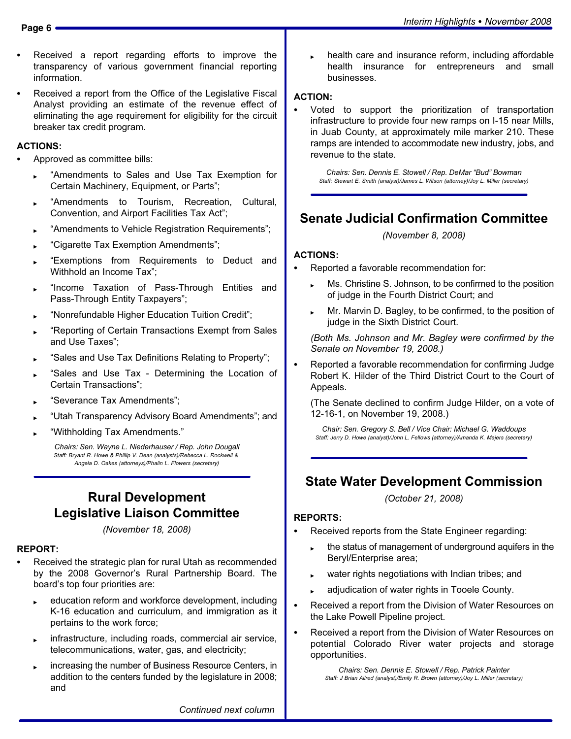- - Received a report regarding efforts to improve the transparency of various government financial reporting information.
- - Received a report from the Office of the Legislative Fiscal Analyst providing an estimate of the revenue effect of eliminating the age requirement for eligibility for the circuit breaker tax credit program.

### ACTIONS:

- - Approved as committee bills:
	- -Amendments to Sales and Use Tax Exemption for Certain Machinery, Equipment, or Parts";
	- -Amendments to Tourism, Recreation, Cultural, Convention, and Airport Facilities Tax Act";
	- -Amendments to Vehicle Registration Requirements";
	- -Cigarette Tax Exemption Amendments";
	- -Exemptions from Requirements to Deduct and Withhold an Income Tax";
	- -Income Taxation of Pass−Through Entities and Pass−Through Entity Taxpayers";
	- -Nonrefundable Higher Education Tuition Credit";
	- -Reporting of Certain Transactions Exempt from Sales and Use Taxes";
	- ► Sales and Use Tax Definitions Relating to Property";
	- -Sales and Use Tax − Determining the Location of Certain Transactions";
	- -Severance Tax Amendments";
	- -Utah Transparency Advisory Board Amendments"; and
	- -Withholding Tax Amendments."

Chairs: Sen. Wayne L. Niederhauser / Rep. John Dougall Staff: Bryant R. Howe & Phillip V. Dean (analysts)/Rebecca L. Rockwell & Angela D. Oakes (attorneys)/Phalin L. Flowers (secretary)

### Rural Development Legislative Liaison Committee

(November 18, 2008)

#### REPORT:

- - Received the strategic plan for rural Utah as recommended by the 2008 Governor's Rural Partnership Board. The board's top four priorities are:
	- education reform and workforce development, including K−16 education and curriculum, and immigration as it pertains to the work force;
	- infrastructure, including roads, commercial air service, telecommunications, water, gas, and electricity;
	- increasing the number of Business Resource Centers, in addition to the centers funded by the legislature in 2008; and

 health care and insurance reform, including affordable health insurance for entrepreneurs and small businesses.

#### ACTION:

-

 Voted to support the prioritization of transportation infrastructure to provide four new ramps on I−15 near Mills, in Juab County, at approximately mile marker 210. These ramps are intended to accommodate new industry, jobs, and revenue to the state.

Chairs: Sen. Dennis E. Stowell / Rep. DeMar "Bud" Bowman Staff: Stewart E. Smith (analyst)/James L. Wilson (attorney)/Joy L. Miller (secretary)

### Senate Judicial Confirmation Committee

(November 8, 2008)

#### ACTIONS:

- - Reported a favorable recommendation for:
	- Ms. Christine S. Johnson, to be confirmed to the position of judge in the Fourth District Court; and
	- Mr. Marvin D. Bagley, to be confirmed, to the position of judge in the Sixth District Court.

(Both Ms. Johnson and Mr. Bagley were confirmed by the Senate on November 19, 2008.)

- Reported a favorable recommendation for confirming Judge Robert K. Hilder of the Third District Court to the Court of Appeals.

(The Senate declined to confirm Judge Hilder, on a vote of 12−16−1, on November 19, 2008.)

Chair: Sen. Gregory S. Bell / Vice Chair: Michael G. Waddoups Staff: Jerry D. Howe (analyst)/John L. Fellows (attorney)/Amanda K. Majers (secretary)

### State Water Development Commission

(October 21, 2008)

#### REPORTS:

- - Received reports from the State Engineer regarding:
	- the status of management of underground aquifers in the Beryl/Enterprise area;
	- water rights negotiations with Indian tribes; and
	- adjudication of water rights in Tooele County.
- $\bullet$  Received a report from the Division of Water Resources on the Lake Powell Pipeline project.
- - Received a report from the Division of Water Resources on potential Colorado River water projects and storage opportunities.

Chairs: Sen. Dennis E. Stowell / Rep. Patrick Painter Staff: J Brian Allred (analyst)/Emily R. Brown (attorney)/Joy L. Miller (secretary)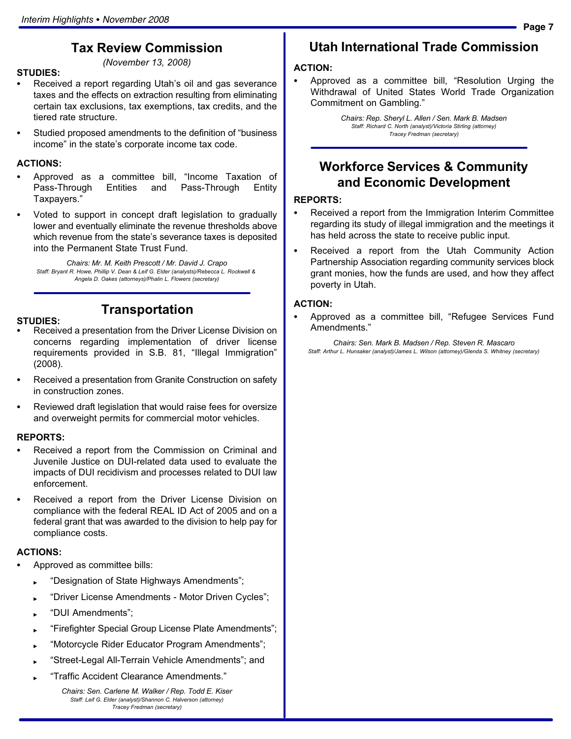## Tax Review Commission

STUDIES:

(November 13, 2008)

- - Received a report regarding Utah's oil and gas severance taxes and the effects on extraction resulting from eliminating certain tax exclusions, tax exemptions, tax credits, and the tiered rate structure.
- -• Studied proposed amendments to the definition of "business income" in the state's corporate income tax code.

### ACTIONS:

- -• Approved as a committee bill, "Income Taxation of Pass−Through Entities and Pass−Through Entity Taxpayers."
- - Voted to support in concept draft legislation to gradually lower and eventually eliminate the revenue thresholds above which revenue from the state's severance taxes is deposited into the Permanent State Trust Fund.

Chairs: Mr. M. Keith Prescott / Mr. David J. Crapo Staff: Bryant R. Howe, Phillip V. Dean & Leif G. Elder (analysts)/Rebecca L. Rockwell & Angela D. Oakes (attorneys)/Phalin L. Flowers (secretary)

#### STUDIES:

### Transportation

- - Received a presentation from the Driver License Division on concerns regarding implementation of driver license requirements provided in S.B. 81, "Illegal Immigration" (2008).
- - Received a presentation from Granite Construction on safety in construction zones.
- - Reviewed draft legislation that would raise fees for oversize and overweight permits for commercial motor vehicles.

#### REPORTS:

- - Received a report from the Commission on Criminal and Juvenile Justice on DUI−related data used to evaluate the impacts of DUI recidivism and processes related to DUI law enforcement.
- - Received a report from the Driver License Division on compliance with the federal REAL ID Act of 2005 and on a federal grant that was awarded to the division to help pay for compliance costs.

### ACTIONS:

- - Approved as committee bills:
	- -Designation of State Highways Amendments";
	- -Driver License Amendments − Motor Driven Cycles";
	- ► "DUI Amendments";
	- -Firefighter Special Group License Plate Amendments";
	- -Motorcycle Rider Educator Program Amendments";
	- -Street−Legal All−Terrain Vehicle Amendments"; and
	- -Traffic Accident Clearance Amendments."

Chairs: Sen. Carlene M. Walker / Rep. Todd E. Kiser Staff: Leif G. Elder (analyst)/Shannon C. Halverson (attorney) Tracey Fredman (secretary)

## Utah International Trade Commission

### ACTION:

-• Approved as a committee bill, "Resolution Urging the Withdrawal of United States World Trade Organization Commitment on Gambling."

> Chairs: Rep. Sheryl L. Allen / Sen. Mark B. Madsen Staff: Richard C. North (analyst)/Victoria Stirling (attorney) Tracey Fredman (secretary)

### Workforce Services & Community and Economic Development

#### REPORTS:

- - Received a report from the Immigration Interim Committee regarding its study of illegal immigration and the meetings it has held across the state to receive public input.
- - Received a report from the Utah Community Action Partnership Association regarding community services block grant monies, how the funds are used, and how they affect poverty in Utah.

### ACTION:

-• Approved as a committee bill, "Refugee Services Fund Amendments."

Chairs: Sen. Mark B. Madsen / Rep. Steven R. Mascaro Staff: Arthur L. Hunsaker (analyst)/James L. Wilson (attorney)/Glenda S. Whitney (secretary)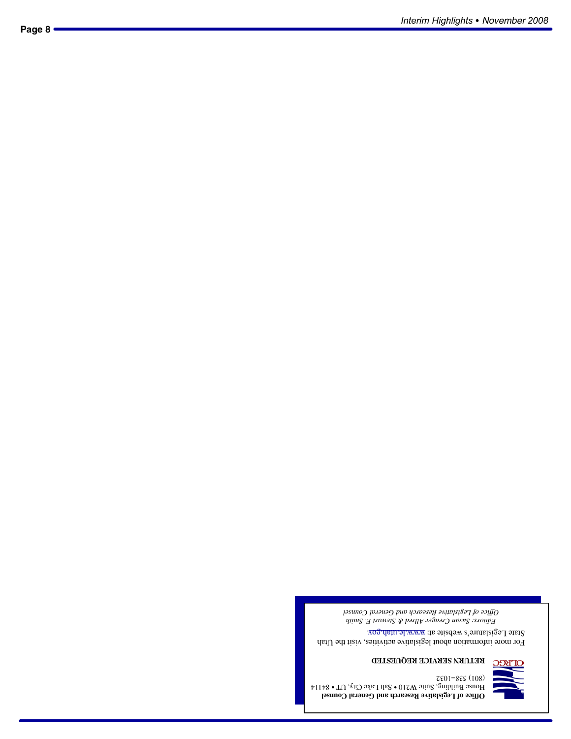**Office of Legislative Research and General Counsel**  ${\rm Hom}$ 84 - Suite W210  $\bullet$  Salt Lake City, UT  $\bullet$  S4114  $\uparrow$  $7501 - 855(108)$ 



### **RETURN SERVICE REQUESTED**

For more information about legislative activities, visit the Utah State Legislature's website at: www.le.utah.gov.

*Editors: Susan Creager Allred & Stewart E. Smith Office of Legislative Research and General Counsel*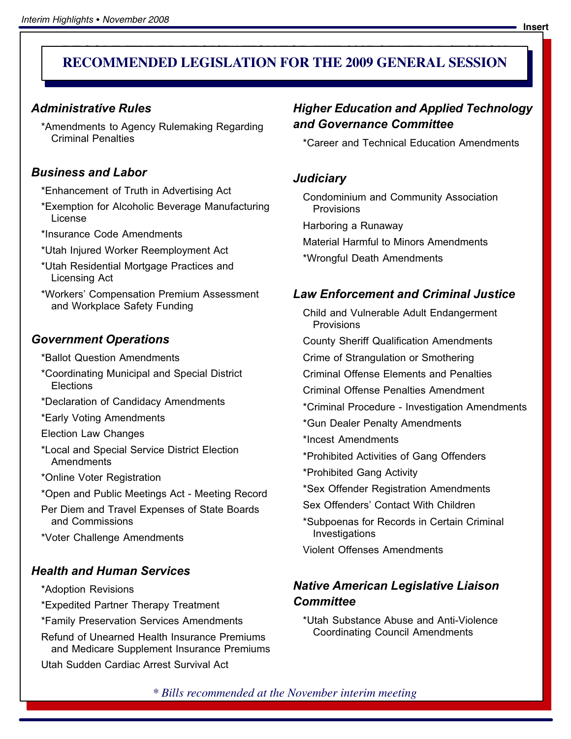### **RECOMMENDED LEGISLATION FOR THE 2007 GENERAL SESSION RECOMMENDED LEGISLATION FOR THE 2009 GENERAL SESSION**

### Administrative Rules

\*Amendments to Agency Rulemaking Regarding Criminal Penalties

### Business and Labor

- \*Enhancement of Truth in Advertising Act
- \*Exemption for Alcoholic Beverage Manufacturing License
- \*Insurance Code Amendments
- \*Utah Injured Worker Reemployment Act
- \*Utah Residential Mortgage Practices and Licensing Act
- \*Workers' Compensation Premium Assessment and Workplace Safety Funding

### Government Operations

- \*Ballot Question Amendments
- \*Coordinating Municipal and Special District **Elections**
- \*Declaration of Candidacy Amendments
- \*Early Voting Amendments
- Election Law Changes
- \*Local and Special Service District Election Amendments
- \*Online Voter Registration
- \*Open and Public Meetings Act − Meeting Record
- Per Diem and Travel Expenses of State Boards and Commissions
- \*Voter Challenge Amendments

### Health and Human Services

- \*Adoption Revisions
- \*Expedited Partner Therapy Treatment
- \*Family Preservation Services Amendments
- Refund of Unearned Health Insurance Premiums and Medicare Supplement Insurance Premiums

Utah Sudden Cardiac Arrest Survival Act

### Higher Education and Applied Technology and Governance Committee

\*Career and Technical Education Amendments

### Judiciary

- Condominium and Community Association **Provisions**
- Harboring a Runaway
- Material Harmful to Minors Amendments
- \*Wrongful Death Amendments

### Law Enforcement and Criminal Justice

- Child and Vulnerable Adult Endangerment Provisions
- County Sheriff Qualification Amendments
- Crime of Strangulation or Smothering
- Criminal Offense Elements and Penalties
- Criminal Offense Penalties Amendment
- \*Criminal Procedure − Investigation Amendments
- \*Gun Dealer Penalty Amendments
- \*Incest Amendments
- \*Prohibited Activities of Gang Offenders
- \*Prohibited Gang Activity
- \*Sex Offender Registration Amendments
- Sex Offenders' Contact With Children
- \*Subpoenas for Records in Certain Criminal Investigations
- Violent Offenses Amendments

### Native American Legislative Liaison **Committee**

\*Utah Substance Abuse and Anti−Violence Coordinating Council Amendments

*\* Bills recommended at the November interim meeting*